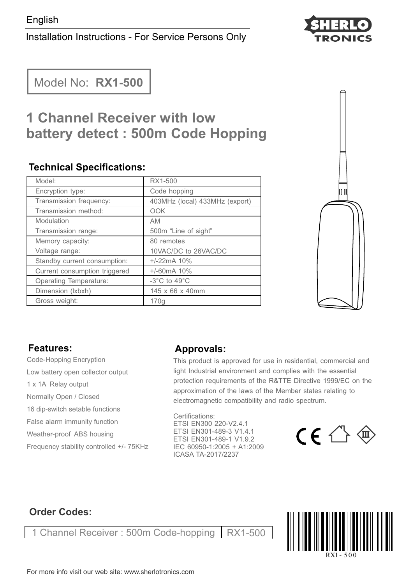# Installation Instructions - For Service Persons Only



Model No: **RX1-500**

# **1 Channel Receiver with low battery detect : 500m Code Hopping**

#### **Technical Specifications:**

| Model:                        | RX1-500                          |
|-------------------------------|----------------------------------|
| Encryption type:              | Code hopping                     |
| Transmission frequency:       | 403MHz (local) 433MHz (export)   |
| Transmission method:          | OOK                              |
| Modulation                    | <b>AM</b>                        |
| Transmission range:           | 500m "Line of sight"             |
| Memory capacity:              | 80 remotes                       |
| Voltage range:                | 10VAC/DC to 26VAC/DC             |
| Standby current consumption:  | $+/-22mA$ 10%                    |
| Current consumption triggered | $+/-60mA$ 10%                    |
| Operating Temperature:        | $-3^{\circ}$ C to $49^{\circ}$ C |
| Dimension (Ixbxh)             | 145 x 66 x 40mm                  |
| Gross weight:                 | 170g                             |



## **Features:**

- Code-Hopping Encryption Low battery open collector output
- 1 x 1A Relay output
- Normally Open / Closed
- 16 dip-switch setable functions
- False alarm immunity function
- Weather-proof ABS housing
- Frequency stability controlled +/- 75KHz

## **Approvals:**

This product is approved for use in residential, commercial and light Industrial environment and complies with the essential protection requirements of the R&TTE Directive 1999/EC on the approximation of the laws of the Member states relating to electromagnetic compatibility and radio spectrum.

Certifications: ETSI EN300 220-V2.4.1 ETSI EN301-489-1 V1.9.2 IEC 60950-1:2005 + A1:2009 ETSI EN301-489-3 V1.4.1 ICASA TA-2017/2237



# **Order Codes:**

Channel Receiver : 500m Code-hopping | RX1-500

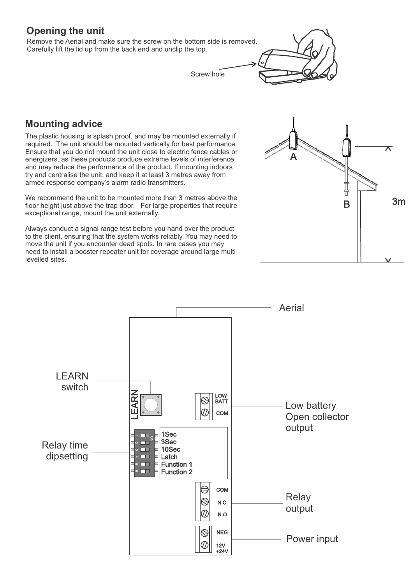# **Opening the unit**

Remove the Aerial and make sure the screw on the bottom side is removed. Carefully lift the lid up from the back end and unclip the top.

Screw hole



#### **Mounting advice**

The plastic housing is splash proof, and may be mounted externally if required. The unit should be mounted vertically for best performance. Ensure that you do not mount the unit close to electric fence cables or energizers, as these products produce extreme levels of interference and may reduce the performance of the product. If mounting indoors try and centralise the unit, and keep it at least 3 metres away from armed response company's alarm radio transmitters.

We recommend the unit to be mounted more than 3 metres above the floor height just above the trap door. For large properties that require exceptional range, mount the unit externally.

Always conduct a signal range test before you hand over the product to the client, ensuring that the system works reliably. You may need to move the unit if you encounter dead spots. In rare cases you may need to install a booster repeater unit for coverage around large multi levelled sites.



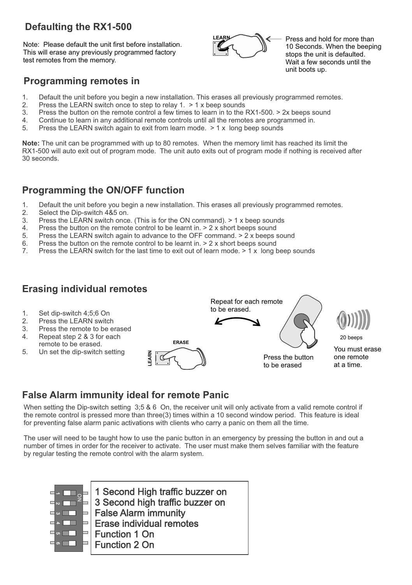# **Defaulting the RX1-500**

Note: Please default the unit first before installation. This will erase any previously programmed factory test remotes from the memory.



Press and hold for more than 10 Seconds. When the beeping stops the unit is defaulted. Wait a few seconds until the unit boots up.

## **Programming remotes in**

- 1. Default the unit before you begin a new installation. This erases all previously programmed remotes.
- 2. Press the LEARN switch once to step to relay  $1. > 1$  x beep sounds 3. Press the button on the remote control a few times to learn in to the
- 3. Press the button on the remote control a few times to learn in to the RX1-500.  $>$  2x beeps sound  $\Lambda$ . Continue to learn in any additional remote controls until all the remotes are programmed in
- 4. Continue to learn in any additional remote controls until all the remotes are programmed in.<br>5. Press the LEARN switch again to exit from learn mode  $> 1 \times$  long been sounds
- Press the LEARN switch again to exit from learn mode.  $> 1 \times$  long beep sounds

**Note:** The unit can be programmed with up to 80 remotes. When the memory limit has reached its limit the RX1-500 will auto exit out of program mode. The unit auto exits out of program mode if nothing is received after 30 seconds.

#### **Programming the ON/OFF function**

- 1. Default the unit before you begin a new installation. This erases all previously programmed remotes.<br>2. Select the Dip-switch 4&5 on.
- 2. Select the Dip-switch 4&5 on.<br>3. Press the LEARN switch once
- 3. Press the LEARN switch once. (This is for the ON command). > 1 x beep sounds  $\mu$  Press the button on the remote control to be learnt in  $> 2x$  short beens sound
- 4. Press the button on the remote control to be learnt in.  $> 2x$  short beeps sound 5. Press the LEARN switch again to advance to the OFF command.  $> 2x$  beeps
- Press the LEARN switch again to advance to the OFF command.  $> 2$  x beeps sound
- 6. Press the button on the remote control to be learnt in.  $> 2x$  short beeps sound  $7$  Press the LEARN switch for the last time to exit out of learn mode  $> 1x$  long b
- Press the LEARN switch for the last time to exit out of learn mode. > 1 x long beep sounds

#### **Erasing individual remotes**



## **False Alarm immunity ideal for remote Panic**

When setting the Dip-switch setting 3;5 & 6 On, the receiver unit will only activate from a valid remote control if the remote control is pressed more than three(3) times within a 10 second window period. This feature is ideal for preventing false alarm panic activations with clients who carry a panic on them all the time.

The user will need to be taught how to use the panic button in an emergency by pressing the button in and out a number of times in order for the receiver to activate. The user must make them selves familiar with the feature by regular testing the remote control with the alarm system.



1 Second High traffic buzzer on 3 Second high traffic buzzer on False Alarm immunity Erase individual remotes Function 1 On Function 2 On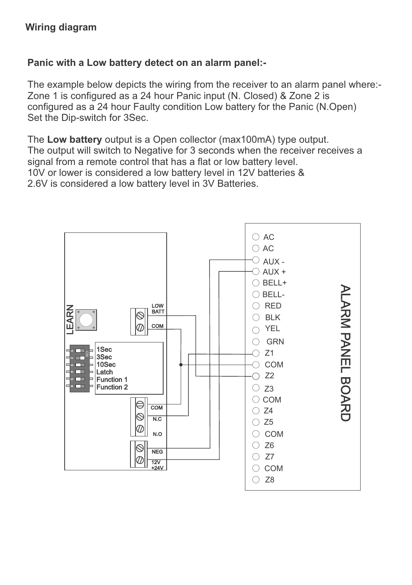# **Panic with a Low battery detect on an alarm panel:-**

The example below depicts the wiring from the receiver to an alarm panel where:- Zone 1 is configured as a 24 hour Panic input (N. Closed) & Zone 2 is configured as a 24 hour Faulty condition Low battery for the Panic (N.Open) Set the Dip-switch for 3Sec.

The **Low battery** output is a Open collector (max100mA) type output. The output will switch to Negative for 3 seconds when the receiver receives a signal from a remote control that has a flat or low battery level. 10V or lower is considered a low battery level in 12V batteries & 2.6V is considered a low battery level in 3V Batteries.

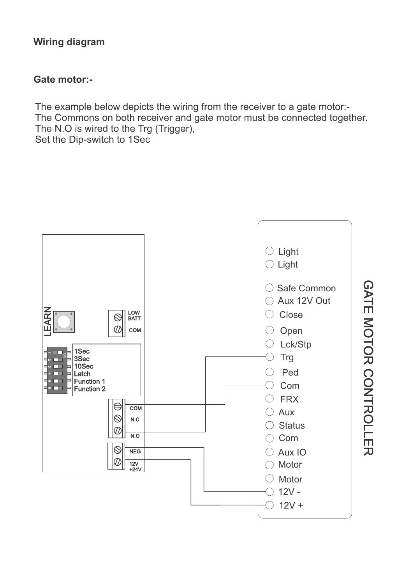# **Wiring diagram**

#### **Gate motor:-**

The example below depicts the wiring from the receiver to a gate motor:- The Commons on both receiver and gate motor must be connected together. The N.O is wired to the Trg (Trigger), Set the Dip-switch to 1Sec

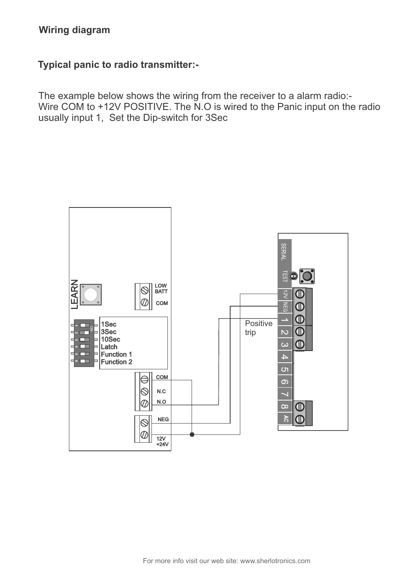#### **Wiring diagram**

#### **Typical panic to radio transmitter:-**

The example below shows the wiring from the receiver to a alarm radio:- Wire COM to +12V POSITIVE. The N.O is wired to the Panic input on the radio usually input 1, Set the Dip-switch for 3Sec

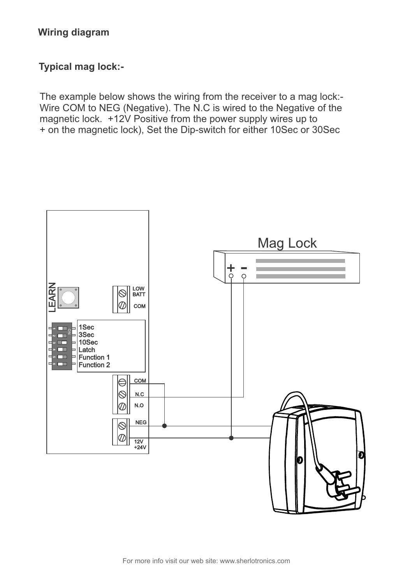#### **Wiring diagram**

#### **Typical mag lock:-**

The example below shows the wiring from the receiver to a mag lock:- Wire COM to NEG (Negative). The N.C is wired to the Negative of the magnetic lock. +12V Positive from the power supply wires up to + on the magnetic lock), Set the Dip-switch for either 10Sec or 30Sec